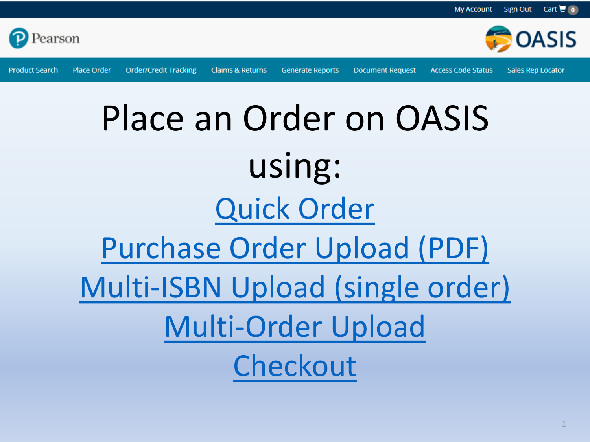

**Product Search** Place Order

**Order/Credit Tracking** 

**Claims & Returns** 

**Generate Reports** 

**Document Request** 

**Access Code Status** 

Sales Rep Locator

**OASIS** 

## Place an Order on OASIS using: Quick Order **Purchase Order Upload (PDF)** Multi-ISBN Upload (single order) **Multi-Order Upload** Checkout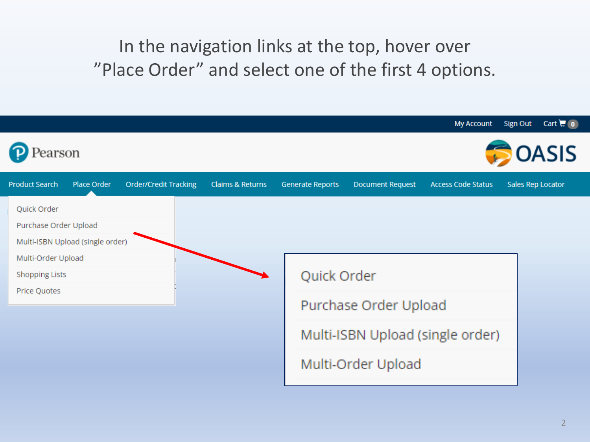### In the navigation links at the top, hover over "Place Order" and select one of the first 4 options.

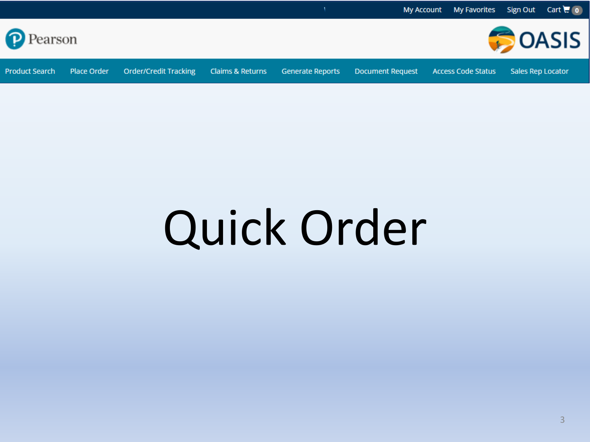<span id="page-2-0"></span>

## Quick Order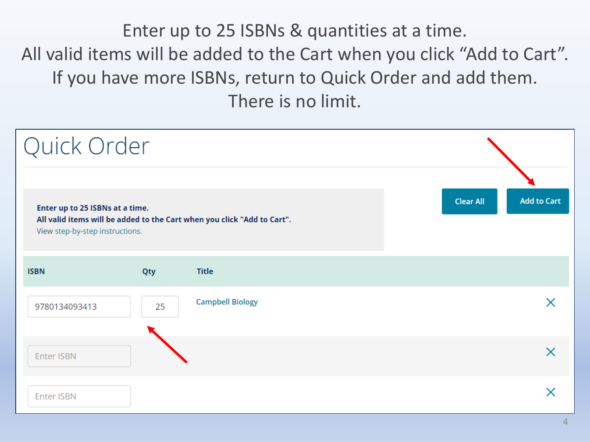Enter up to 25 ISBNs & quantities at a time. All valid items will be added to the Cart when you click "Add to Cart". If you have more ISBNs, return to Quick Order and add them. There is no limit.

| Quick Order                                                        |     |                                                                         |  |                  |                    |
|--------------------------------------------------------------------|-----|-------------------------------------------------------------------------|--|------------------|--------------------|
| Enter up to 25 ISBNs at a time.<br>View step-by-step instructions. |     | All valid items will be added to the Cart when you click "Add to Cart". |  | <b>Clear All</b> | <b>Add to Cart</b> |
| <b>ISBN</b>                                                        | Qty | <b>Title</b>                                                            |  |                  |                    |
| 9780134093413                                                      | 25  | <b>Campbell Biology</b>                                                 |  |                  |                    |
| Enter ISBN                                                         |     |                                                                         |  |                  | X                  |
| <b>Enter ISBN</b>                                                  |     |                                                                         |  |                  |                    |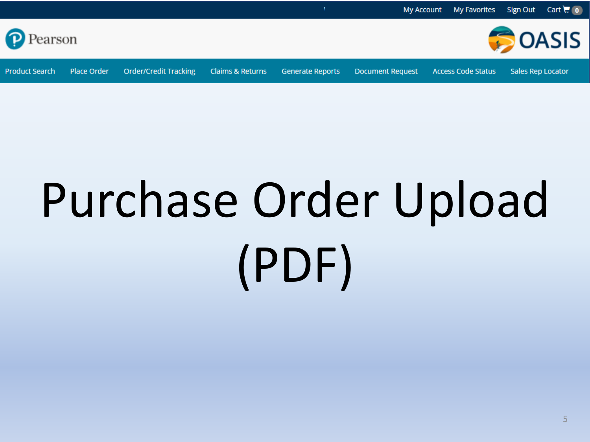<span id="page-4-0"></span>

# Purchase Order Upload (PDF)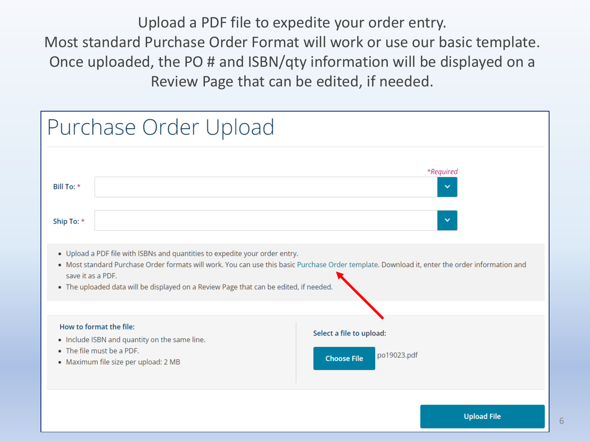Upload a PDF file to expedite your order entry. Most standard Purchase Order Format will work or use our basic template. Once uploaded, the PO # and ISBN/qty information will be displayed on a Review Page that can be edited, if needed.

|                          | Purchase Order Upload                                                                                                                                                                     |                                                                                                                                                |
|--------------------------|-------------------------------------------------------------------------------------------------------------------------------------------------------------------------------------------|------------------------------------------------------------------------------------------------------------------------------------------------|
| Bill To: *<br>Ship To: * |                                                                                                                                                                                           | *Required<br>$\checkmark$<br>$\checkmark$                                                                                                      |
|                          | • Upload a PDF file with ISBNs and quantities to expedite your order entry.<br>save it as a PDF.<br>. The uploaded data will be displayed on a Review Page that can be edited, if needed. | • Most standard Purchase Order formats will work. You can use this basic Purchase Order template. Download it, enter the order information and |
|                          | How to format the file:<br>. Include ISBN and quantity on the same line.<br>• The file must be a PDF.<br>• Maximum file size per upload: 2 MB                                             | Select a file to upload:<br>po19023.pdf<br><b>Choose File</b>                                                                                  |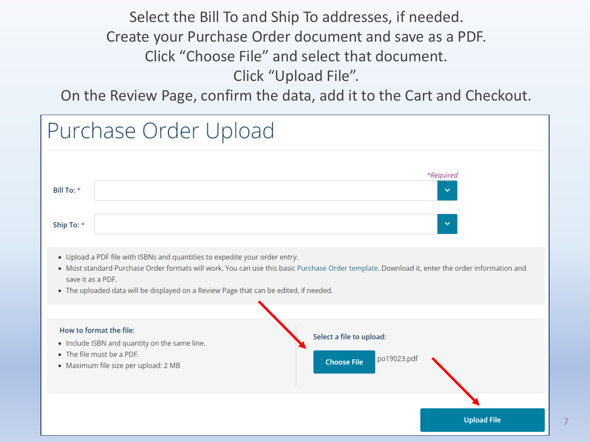Select the Bill To and Ship To addresses, if needed. Create your Purchase Order document and save as a PDF. Click "Choose File" and select that document. Click "Upload File".

On the Review Page, confirm the data, add it to the Cart and Checkout.

|                                               | Purchase Order Upload                                                                                                                                                |                                                                                                                                                                                             |
|-----------------------------------------------|----------------------------------------------------------------------------------------------------------------------------------------------------------------------|---------------------------------------------------------------------------------------------------------------------------------------------------------------------------------------------|
| Bill To: *<br>Ship To: *<br>save it as a PDF. | . Upload a PDF file with ISBNs and quantities to expedite your order entry.<br>• The uploaded data will be displayed on a Review Page that can be edited, if needed. | *Required<br>$\checkmark$<br>$\checkmark$<br>. Most standard Purchase Order formats will work. You can use this basic Purchase Order template. Download it, enter the order information and |
|                                               | How to format the file:<br>• Include ISBN and quantity on the same line.<br>• The file must be a PDF.<br>• Maximum file size per upload: 2 MB                        | Select a file to upload:<br>po19023.pdf<br><b>Choose File</b>                                                                                                                               |
|                                               |                                                                                                                                                                      | <b>Upload File</b>                                                                                                                                                                          |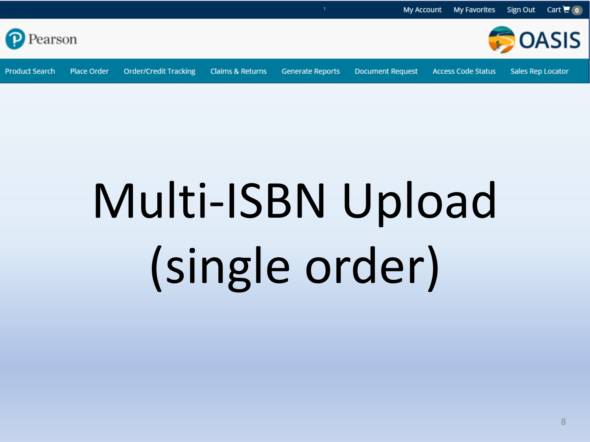<span id="page-7-0"></span>

# Multi-ISBN Upload (single order)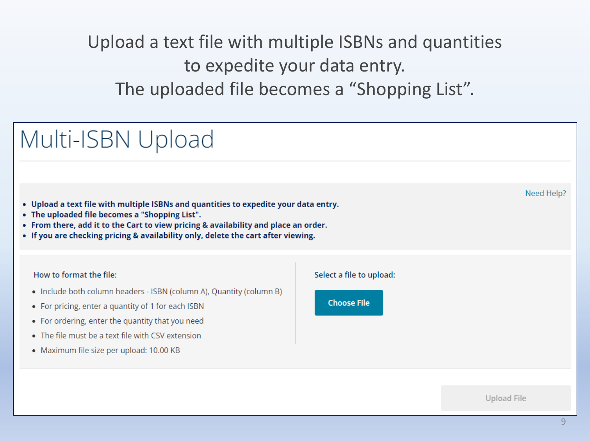### Upload a text file with multiple ISBNs and quantities to expedite your data entry. The uploaded file becomes a "Shopping List".

## Multi-ISBN Upload

- . Upload a text file with multiple ISBNs and quantities to expedite your data entry.
- The uploaded file becomes a "Shopping List".
- From there, add it to the Cart to view pricing & availability and place an order.
- If you are checking pricing & availability only, delete the cart after viewing.

#### How to format the file:

- Include both column headers ISBN (column A), Quantity (column B)
- For pricing, enter a quantity of 1 for each ISBN
- For ordering, enter the quantity that you need
- The file must be a text file with CSV extension
- Maximum file size per upload: 10.00 KB





Upload File

Need Help?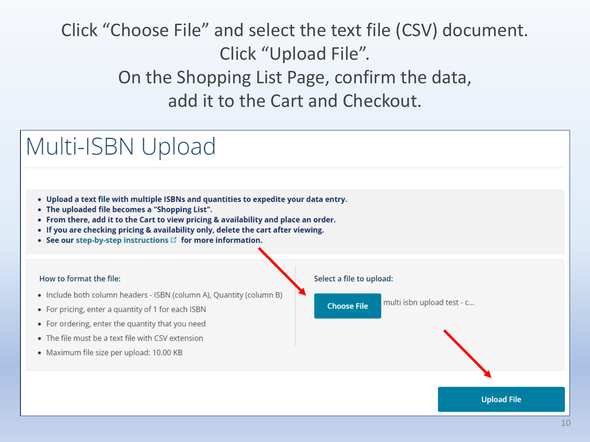## Click "Choose File" and select the text file (CSV) document. Click "Upload File". On the Shopping List Page, confirm the data, add it to the Cart and Checkout.

## Multi-ISBN Upload

- . Upload a text file with multiple ISBNs and quantities to expedite your data entry.
- The uploaded file becomes a "Shopping List".
- . From there, add it to the Cart to view pricing & availability and place an order.
- If you are checking pricing & availability only, delete the cart after viewing.
- See our step-by-step instructions  $\mathbb{E}$  for more information.

#### How to format the file:

- Include both column headers ISBN (column A), Quantity (column B)
- For pricing, enter a quantity of 1 for each ISBN
- For ordering, enter the quantity that you need
- The file must be a text file with CSV extension
- · Maximum file size per upload: 10.00 KB

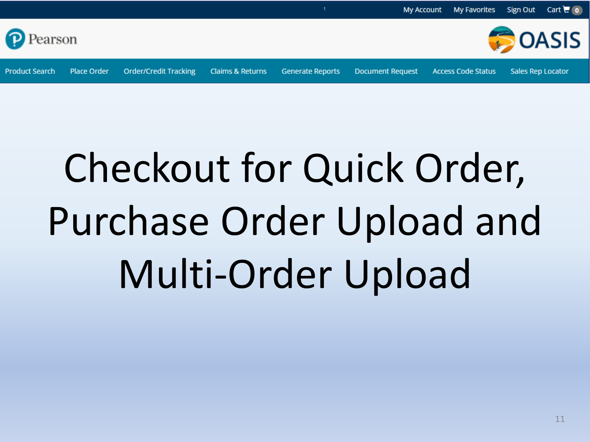<span id="page-10-0"></span>

## Checkout for Quick Order, Purchase Order Upload and Multi-Order Upload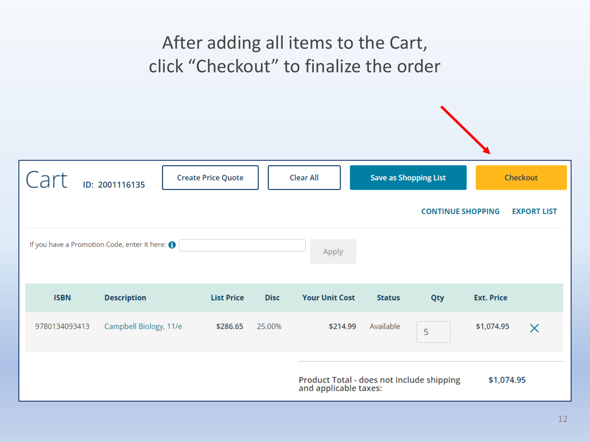### After adding all items to the Cart, click "Checkout" to finalize the order

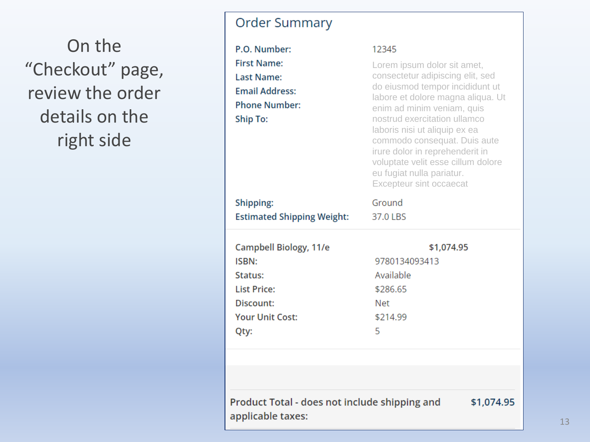On the "Checkout" page, review the order details on the right side

#### **Order Summary**

| P.O. Number:<br><b>First Name:</b><br><b>Last Name:</b><br><b>Email Address:</b><br><b>Phone Number:</b><br>Ship To: | 12345<br>Lorem ipsum dolor sit amet,<br>consectetur adipiscing elit, sed<br>do eiusmod tempor incididunt ut<br>labore et dolore magna aliqua. Ut<br>enim ad minim veniam, quis<br>nostrud exercitation ullamco<br>laboris nisi ut aliquip ex ea<br>commodo consequat. Duis aute<br>irure dolor in reprehenderit in<br>voluptate velit esse cillum dolore<br>eu fugiat nulla pariatur.<br><b>Excepteur sint occaecat</b> |
|----------------------------------------------------------------------------------------------------------------------|-------------------------------------------------------------------------------------------------------------------------------------------------------------------------------------------------------------------------------------------------------------------------------------------------------------------------------------------------------------------------------------------------------------------------|
| Shipping:                                                                                                            | Ground                                                                                                                                                                                                                                                                                                                                                                                                                  |
| <b>Estimated Shipping Weight:</b>                                                                                    | 37.0 LBS                                                                                                                                                                                                                                                                                                                                                                                                                |
| Campbell Biology, 11/e<br>ISBN:<br>Status:<br><b>List Price:</b><br>Discount:<br><b>Your Unit Cost:</b><br>Qty:      | \$1,074.95<br>9780134093413<br>Available<br>\$286.65<br><b>Net</b><br>\$214.99<br>5                                                                                                                                                                                                                                                                                                                                     |
|                                                                                                                      |                                                                                                                                                                                                                                                                                                                                                                                                                         |

Product Total - does not include shipping and \$1,074.95 applicable taxes: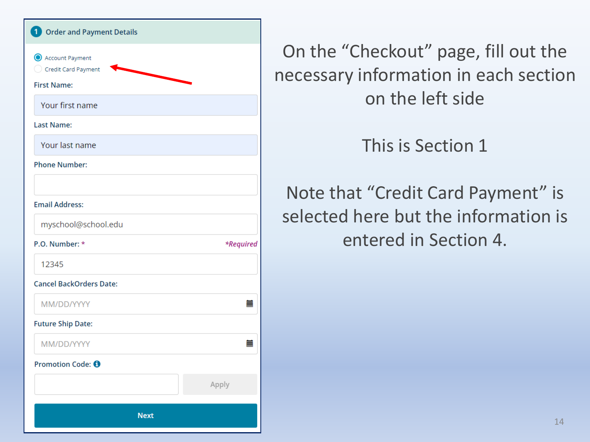| 1 Order and Payment Details              |           |
|------------------------------------------|-----------|
| Account Payment<br>C Credit Card Payment |           |
| <b>First Name:</b>                       |           |
| Your first name                          |           |
| <b>Last Name:</b>                        |           |
| Your last name                           |           |
| <b>Phone Number:</b>                     |           |
|                                          |           |
| <b>Email Address:</b>                    |           |
| myschool@school.edu                      |           |
| P.O. Number: *                           | *Required |
| 12345                                    |           |
| <b>Cancel BackOrders Date:</b>           |           |
| MM/DD/YYYY                               | 臝         |
| <b>Future Ship Date:</b>                 |           |
| MM/DD/YYYY                               | ≣         |
| Promotion Code: 0                        |           |
|                                          | Apply     |
| <b>Next</b>                              |           |

On the "Checkout" page, fill out the necessary information in each section on the left side

This is Section 1

Note that "Credit Card Payment" is selected here but the information is entered in Section 4.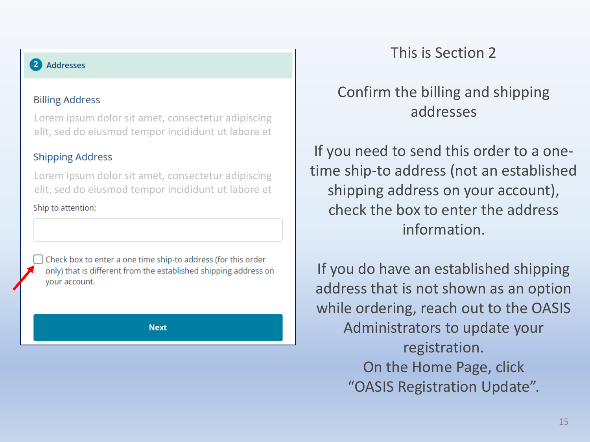#### 2 Addresses

#### **Billing Address**

Lorem ipsum dolor sit amet, consectetur adipiscing elit, sed do eiusmod tempor incididunt ut labore et

#### **Shipping Address**

Lorem ipsum dolor sit amet, consectetur adipiscing elit, sed do eiusmod tempor incididunt ut labore et

Ship to attention:

Check box to enter a one time ship-to address (for this order only) that is different from the established shipping address on vour account.

**Next** 

#### This is Section 2

#### Confirm the billing and shipping addresses

If you need to send this order to a onetime ship-to address (not an established shipping address on your account), check the box to enter the address information.

If you do have an established shipping address that is not shown as an option while ordering, reach out to the OASIS Administrators to update your registration. On the Home Page, click "OASIS Registration Update".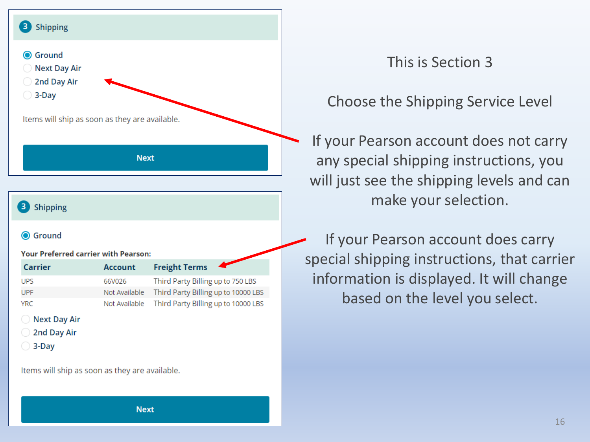

#### **Next Day Air**

- 2nd Day Air
- $\bigcirc$  3-Day

Items will ship as soon as they are available.

#### This is Section 3

#### Choose the Shipping Service Level

If your Pearson account does not carry any special shipping instructions, you will just see the shipping levels and can make your selection.

If your Pearson account does carry special shipping instructions, that carrier information is displayed. It will change based on the level you select.

**Next**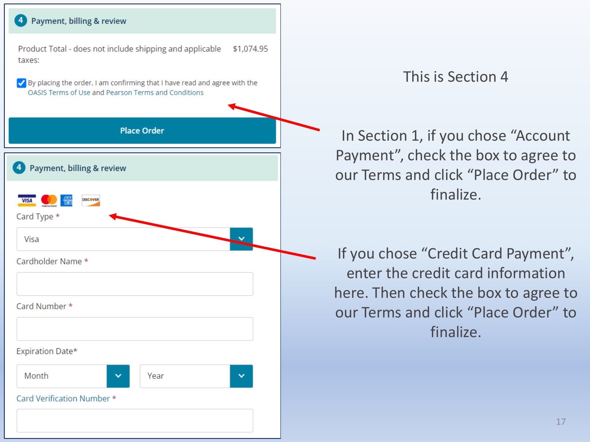

#### This is Section 4

In Section 1, if you chose "Account Payment", check the box to agree to our Terms and click "Place Order" to finalize.

If you chose "Credit Card Payment", enter the credit card information here. Then check the box to agree to our Terms and click "Place Order" to finalize.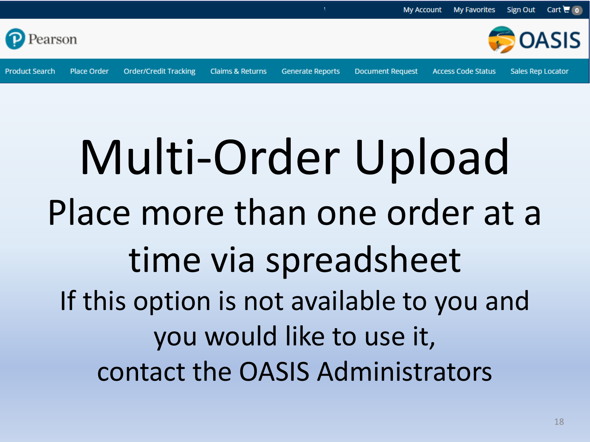<span id="page-17-0"></span>

**Generate Reports** 

**Document Request** 

**Claims & Returns** 

**Product Search** 

**Place Order** 

**Order/Credit Tracking** 

## Multi-Order Upload Place more than one order at a time via spreadsheet If this option is not available to you and you would like to use it, contact the OASIS Administrators

**Access Code Status** 

**Sales Rep Locator**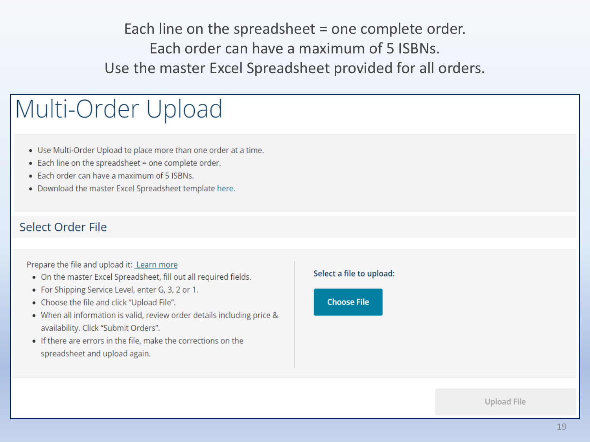Each line on the spreadsheet = one complete order. Fach order can have a maximum of 5 ISBNs. Use the master Excel Spreadsheet provided for all orders.

## Multi-Order Upload

- . Use Multi-Order Upload to place more than one order at a time.
- . Each line on the spreadsheet = one complete order.
- Each order can have a maximum of 5 ISBNs.
- . Download the master Excel Spreadsheet template here.

#### Select Order File

#### Prepare the file and upload it: Learn more

- . On the master Excel Spreadsheet, fill out all required fields.
- For Shipping Service Level, enter G, 3, 2 or 1.
- Choose the file and click "Upload File".
- When all information is valid, review order details including price & availability. Click "Submit Orders".
- If there are errors in the file, make the corrections on the spreadsheet and upload again.

#### Select a file to upload:



Upload File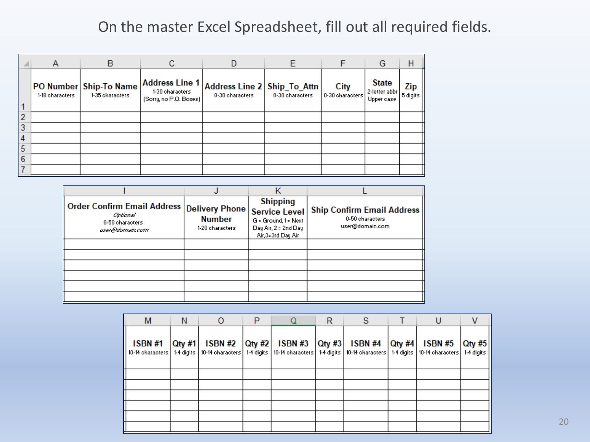#### On the master Excel Spreadsheet, fill out all required fields.

| <b>A</b>       | A               | в                                         | с                                                           |                                                    | Ε               |                         | G                                           | Н               |
|----------------|-----------------|-------------------------------------------|-------------------------------------------------------------|----------------------------------------------------|-----------------|-------------------------|---------------------------------------------|-----------------|
|                | 1-18 characters | PO Number Ship-To Name<br>1-35 characters | Address Line 1<br>1-30 characters<br>[Sorry, no P.O. Boxes] | Address Line 2   Ship_To_Attn  <br>0-30 characters | 0-30 characters | City<br>0-30 characters | <b>State</b><br>2-letter abbr<br>Upper case | Zip<br>5 digits |
| $\overline{2}$ |                 |                                           |                                                             |                                                    |                 |                         |                                             |                 |
| 3              |                 |                                           |                                                             |                                                    |                 |                         |                                             |                 |
| $\overline{4}$ |                 |                                           |                                                             |                                                    |                 |                         |                                             |                 |
| 5              |                 |                                           |                                                             |                                                    |                 |                         |                                             |                 |
| 6              |                 |                                           |                                                             |                                                    |                 |                         |                                             |                 |
|                |                 |                                           |                                                             |                                                    |                 |                         |                                             |                 |

| ∥ Order Confirm Email Address  <br>Centiconal<br>0-50 characters<br>user@domain.com | <b>Delivery Phone</b><br><b>Number</b><br>1-20 characters | <b>Shipping</b><br><b>Service Level</b><br>G = Ground, 1 = Next<br>Day Air, 2 = 2nd Day<br>Air, 3=3rd Day Air | <b>Ship Confirm Email Address</b><br>0-50 characters<br>user@domain.com |
|-------------------------------------------------------------------------------------|-----------------------------------------------------------|---------------------------------------------------------------------------------------------------------------|-------------------------------------------------------------------------|
|                                                                                     |                                                           |                                                                                                               |                                                                         |
|                                                                                     |                                                           |                                                                                                               |                                                                         |
|                                                                                     |                                                           |                                                                                                               |                                                                         |
|                                                                                     |                                                           |                                                                                                               |                                                                         |
|                                                                                     |                                                           |                                                                                                               |                                                                         |
|                                                                                     |                                                           |                                                                                                               |                                                                         |

| M                                  | N         |                                                              | P             |                | R |                                                                      |                         | U                                  |                                        |
|------------------------------------|-----------|--------------------------------------------------------------|---------------|----------------|---|----------------------------------------------------------------------|-------------------------|------------------------------------|----------------------------------------|
| <b>ISBN #1</b><br>10-14 characters | $Q$ ty #1 | <b>ISBN #2</b><br>1-4 digits   10-14 characters   1-4 digits | <b>Qty #2</b> | <b>ISBN #3</b> |   | Qty #3   ISBN #4<br>10-14 characters   1-4 digits   10-14 characters | $Q$ ty #4<br>1-4 digits | <b>ISBN #5</b><br>10-14 characters | $\vert$ Qty #5 $\vert$<br>$1-4$ digits |
|                                    |           |                                                              |               |                |   |                                                                      |                         |                                    |                                        |
|                                    |           |                                                              |               |                |   |                                                                      |                         |                                    |                                        |
|                                    |           |                                                              |               |                |   |                                                                      |                         |                                    |                                        |
|                                    |           |                                                              |               |                |   |                                                                      |                         |                                    |                                        |
|                                    |           |                                                              |               |                |   |                                                                      |                         |                                    |                                        |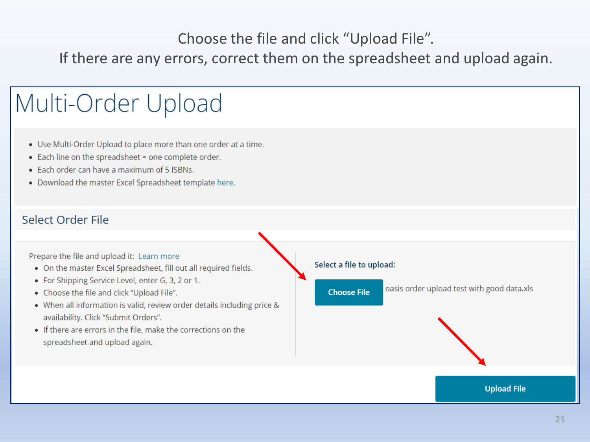Choose the file and click "Upload File".

If there are any errors, correct them on the spreadsheet and upload again.

## Multi-Order Upload

- . Use Multi-Order Upload to place more than one order at a time.
- . Each line on the spreadsheet = one complete order.
- Each order can have a maximum of 5 ISBNs.
- . Download the master Excel Spreadsheet template here.

#### Select Order File

Prepare the file and upload it: Learn more

- . On the master Excel Spreadsheet, fill out all required fields.
- For Shipping Service Level, enter G, 3, 2 or 1.
- Choose the file and click "Upload File".
- . When all information is valid, review order details including price & availability. Click "Submit Orders".
- If there are errors in the file, make the corrections on the spreadsheet and upload again.

#### Select a file to upload:

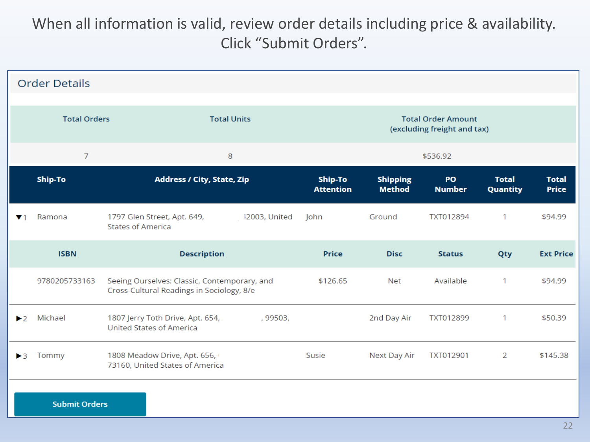#### When all information is valid, review order details including price & availability. Click "Submit Orders".

|                         | <b>Order Details</b>                      |                                                                                           |               |                             |                                                          |                     |                                 |                              |  |  |  |  |  |
|-------------------------|-------------------------------------------|-------------------------------------------------------------------------------------------|---------------|-----------------------------|----------------------------------------------------------|---------------------|---------------------------------|------------------------------|--|--|--|--|--|
|                         | <b>Total Orders</b><br><b>Total Units</b> |                                                                                           |               |                             | <b>Total Order Amount</b><br>(excluding freight and tax) |                     |                                 |                              |  |  |  |  |  |
|                         | 7                                         | 8                                                                                         |               |                             |                                                          | \$536.92            |                                 | <b>Total</b><br><b>Price</b> |  |  |  |  |  |
|                         | Ship-To                                   | <b>Address / City, State, Zip</b>                                                         |               | Ship-To<br><b>Attention</b> | <b>Shipping</b><br><b>Method</b>                         | PO<br><b>Number</b> | <b>Total</b><br><b>Quantity</b> |                              |  |  |  |  |  |
| $\mathbf{v}$ 1          | Ramona                                    | 1797 Glen Street, Apt. 649,<br><b>States of America</b>                                   | 12003, United | John                        | Ground                                                   | TXT012894           | 1                               | \$94.99                      |  |  |  |  |  |
|                         | <b>ISBN</b>                               | <b>Description</b>                                                                        |               | <b>Price</b>                | <b>Disc</b>                                              | <b>Status</b>       | Qty                             | <b>Ext Price</b>             |  |  |  |  |  |
|                         | 9780205733163                             | Seeing Ourselves: Classic, Contemporary, and<br>Cross-Cultural Readings in Sociology, 8/e |               | \$126.65                    | Net                                                      | Available           | 1                               | \$94.99                      |  |  |  |  |  |
| $\blacktriangleright$ 2 | Michael                                   | 1807 Jerry Toth Drive, Apt. 654,<br><b>United States of America</b>                       | , 99503,      |                             | 2nd Day Air                                              | TXT012899           | 1                               | \$50.39                      |  |  |  |  |  |
| $\blacktriangleright$ 3 | Tommy                                     | 1808 Meadow Drive, Apt. 656,<br>73160, United States of America                           |               | Susie                       | Next Day Air                                             | TXT012901           | $\overline{2}$                  | \$145.38                     |  |  |  |  |  |
|                         | <b>Submit Orders</b>                      |                                                                                           |               |                             |                                                          |                     |                                 |                              |  |  |  |  |  |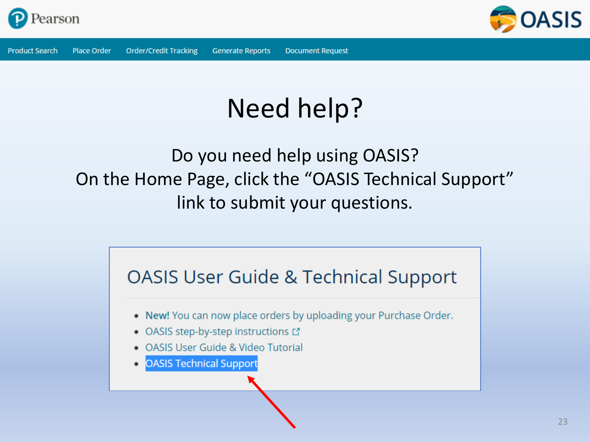



## Need help?

### Do you need help using OASIS? On the Home Page, click the "OASIS Technical Support" link to submit your questions.

## **OASIS User Guide & Technical Support** . New! You can now place orders by uploading your Purchase Order. • OASIS step-by-step instructions L' • OASIS User Guide & Video Tutorial **OASIS Technical Support**  $\bullet$